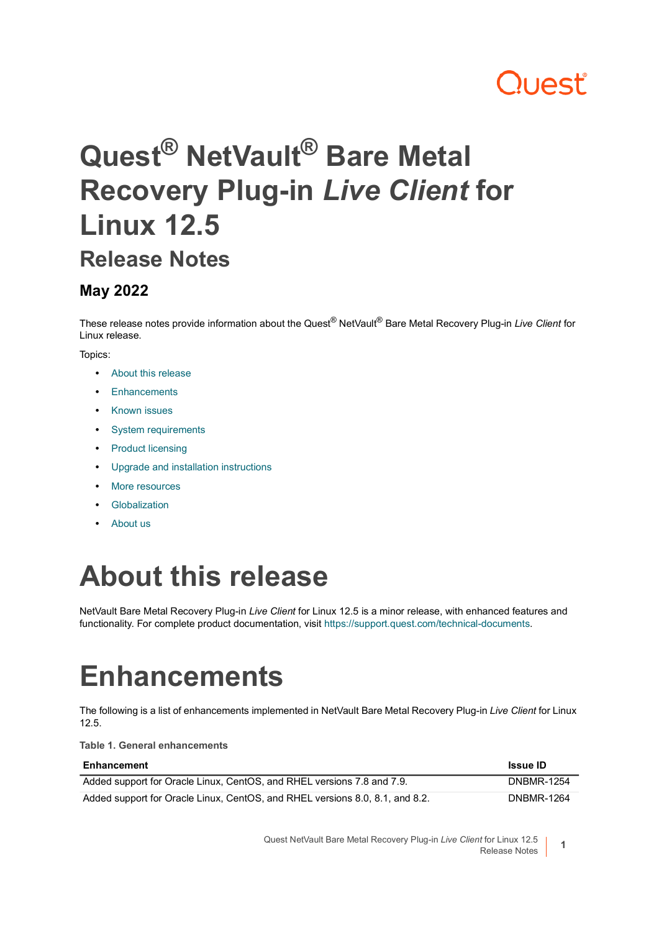## ו וAst

# **Quest® NetVault® Bare Metal Recovery Plug-in** *Live Client* **for Linux 12.5**

### **Release Notes**

### **May 2022**

These release notes provide information about the Quest® NetVault® Bare Metal Recovery Plug-in *Live Client* for Linux release.

#### Topics:

- **•** [About this release](#page-0-0)
- **•** [Enhancements](#page-0-1)
- **•** [Known issues](#page-1-0)
- **•** [System requirements](#page-2-0)
- **•** [Product licensing](#page-2-1)
- **•** [Upgrade and installation instructions](#page-3-0)
- **•** [More resources](#page-4-0)
- **•** [Globalization](#page-4-1)
- **•** [About us](#page-4-2)

### <span id="page-0-0"></span>**About this release**

NetVault Bare Metal Recovery Plug-in *Live Client* for Linux 12.5 is a minor release, with enhanced features and functionality. For complete product documentation, visit [https://support.quest.com/technical-documents.](https://support.quest.com/technical-documents)

## <span id="page-0-1"></span>**Enhancements**

The following is a list of enhancements implemented in NetVault Bare Metal Recovery Plug-in *Live Client* for Linux 12.5.

**Table 1. General enhancements**

| Enhancement                                                                  | <b>Issue ID</b>   |
|------------------------------------------------------------------------------|-------------------|
| Added support for Oracle Linux, CentOS, and RHEL versions 7.8 and 7.9.       | <b>DNBMR-1254</b> |
| Added support for Oracle Linux, CentOS, and RHEL versions 8.0, 8.1, and 8.2. | <b>DNBMR-1264</b> |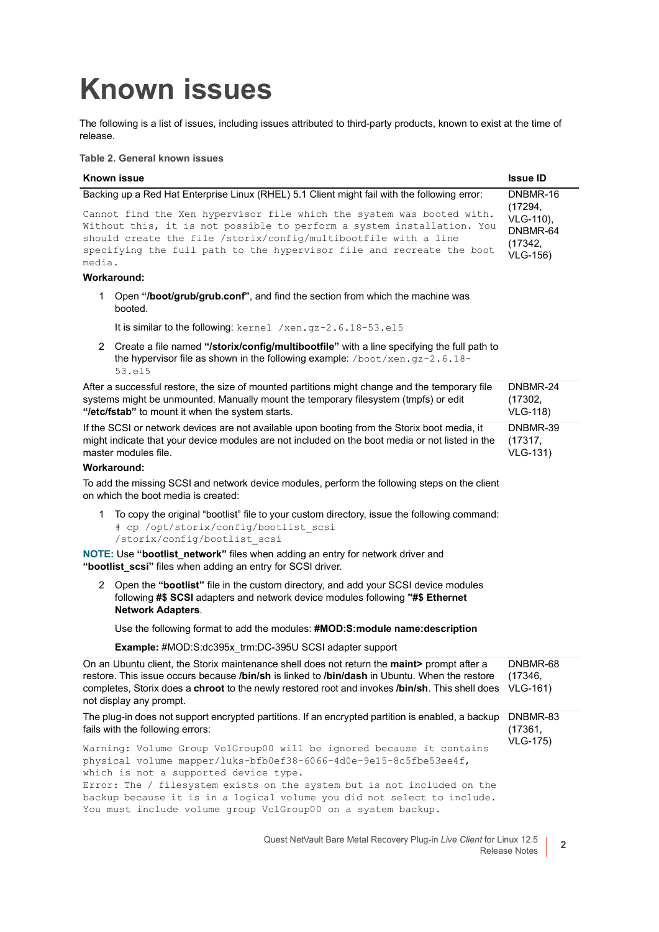## <span id="page-1-0"></span>**Known issues**

The following is a list of issues, including issues attributed to third-party products, known to exist at the time of release.

**Table 2. General known issues**

#### **Known issue Issue ID** Backing up a Red Hat Enterprise Linux (RHEL) 5.1 Client might fail with the following error: Cannot find the Xen hypervisor file which the system was booted with. Without this, it is not possible to perform a system installation. You should create the file /storix/config/multibootfile with a line specifying the full path to the hypervisor file and recreate the boot media. DNBMR-16 (17294, VLG-110), DNBMR-64 (17342, VLG-156)

#### **Workaround:**

1 Open **"/boot/grub/grub.conf"**, and find the section from which the machine was booted.

It is similar to the following: kernel /xen.gz-2.6.18-53.el5

2 Create a file named **"/storix/config/multibootfile"** with a line specifying the full path to the hypervisor file as shown in the following example: /boot/xen.gz-2.6.18-53.el5

After a successful restore, the size of mounted partitions might change and the temporary file systems might be unmounted. Manually mount the temporary filesystem (tmpfs) or edit **"/etc/fstab"** to mount it when the system starts. DNBMR-24 (17302, VLG-118) If the SCSI or network devices are not available upon booting from the Storix boot media, it DNBMR-39

might indicate that your device modules are not included on the boot media or not listed in the master modules file. (17317, VLG-131)

#### **Workaround:**

To add the missing SCSI and network device modules, perform the following steps on the client on which the boot media is created:

1 To copy the original "bootlist" file to your custom directory, issue the following command: # cp /opt/storix/config/bootlist\_scsi /storix/config/bootlist\_scsi

**NOTE: Use "bootlist network"** files when adding an entry for network driver and **"bootlist\_scsi"** files when adding an entry for SCSI driver.

2 Open the **"bootlist"** file in the custom directory, and add your SCSI device modules following **#\$ SCSI** adapters and network device modules following **"#\$ Ethernet Network Adapters**.

Use the following format to add the modules: **#MOD:S:module name:description**

**Example:** #MOD:S:dc395x\_trm:DC-395U SCSI adapter support

You must include volume group VolGroup00 on a system backup.

| On an Ubuntu client, the Storix maintenance shell does not return the <b>maint&gt;</b> prompt after a<br>restore. This issue occurs because <i>Ibin/sh</i> is linked to <i>Ibin/dash</i> in Ubuntu. When the restore<br>completes, Storix does a <b>chroot</b> to the newly restored root and invokes <b>/bin/sh</b> . This shell does<br>not display any prompt. | DNBMR-68<br>(17346,<br><b>VLG-161)</b> |
|-------------------------------------------------------------------------------------------------------------------------------------------------------------------------------------------------------------------------------------------------------------------------------------------------------------------------------------------------------------------|----------------------------------------|
| The plug-in does not support encrypted partitions. If an encrypted partition is enabled, a backup<br>fails with the following errors:                                                                                                                                                                                                                             | DNBMR-83<br>(17361,<br><b>VLG-175)</b> |
| Warning: Volume Group VolGroup00 will be ignored because it contains<br>physical volume mapper/luks-bfb0ef38-6066-4d0e-9e15-8c5fbe53ee4f,<br>which is not a supported device type.<br>Error: The / filesystem exists on the system but is not included on the<br>backup because it is in a logical volume you did not select to include.                          |                                        |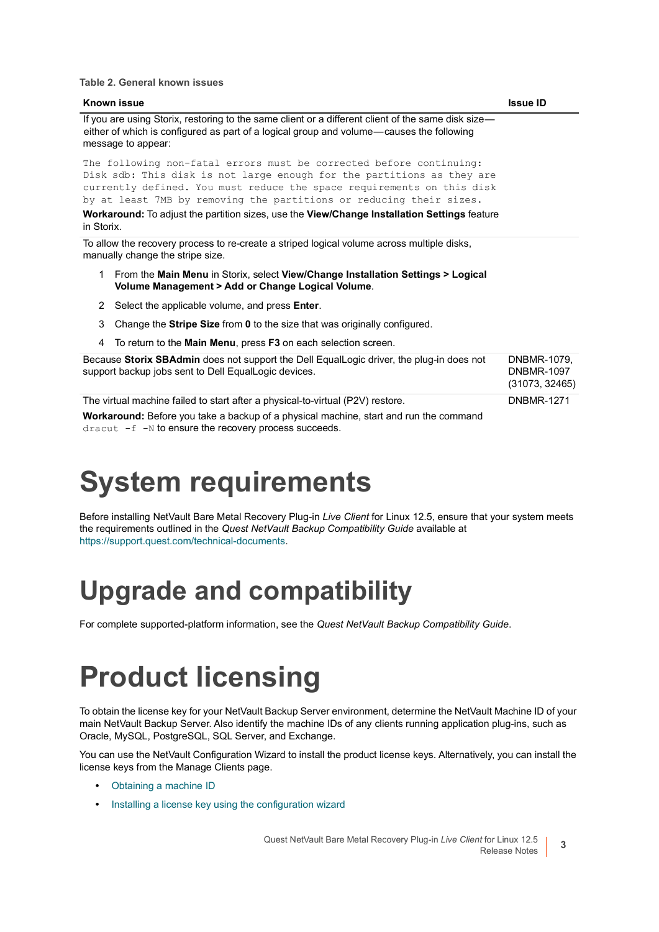**Table 2. General known issues**

| <b>Known issue</b>                                                                                                                                                                                                                                                                             | <b>Issue ID</b>                                    |
|------------------------------------------------------------------------------------------------------------------------------------------------------------------------------------------------------------------------------------------------------------------------------------------------|----------------------------------------------------|
| If you are using Storix, restoring to the same client or a different client of the same disk size—<br>either of which is configured as part of a logical group and volume—causes the following<br>message to appear:                                                                           |                                                    |
| The following non-fatal errors must be corrected before continuing:<br>Disk sdb: This disk is not large enough for the partitions as they are<br>currently defined. You must reduce the space requirements on this disk<br>by at least 7MB by removing the partitions or reducing their sizes. |                                                    |
| <b>Workaround:</b> To adjust the partition sizes, use the <b>View/Change Installation Settings</b> feature<br>in Storix.                                                                                                                                                                       |                                                    |
| To allow the recovery process to re-create a striped logical volume across multiple disks,<br>manually change the stripe size.                                                                                                                                                                 |                                                    |
| From the Main Menu in Storix, select View/Change Installation Settings > Logical<br>1.<br>Volume Management > Add or Change Logical Volume.                                                                                                                                                    |                                                    |
| 2 Select the applicable volume, and press <b>Enter</b> .                                                                                                                                                                                                                                       |                                                    |
| 3<br>Change the Stripe Size from 0 to the size that was originally configured.                                                                                                                                                                                                                 |                                                    |
| To return to the <b>Main Menu</b> , press <b>F3</b> on each selection screen.<br>4                                                                                                                                                                                                             |                                                    |
| Because Storix SBAdmin does not support the Dell EqualLogic driver, the plug-in does not<br>support backup jobs sent to Dell EqualLogic devices.                                                                                                                                               | DNBMR-1079,<br><b>DNBMR-1097</b><br>(31073, 32465) |
| The virtual machine failed to start after a physical-to-virtual (P2V) restore.<br>Workaround: Before you take a backup of a physical machine, start and run the command                                                                                                                        | <b>DNBMR-1271</b>                                  |

dracut -f -N to ensure the recovery process succeeds.

## <span id="page-2-0"></span>**System requirements**

Before installing NetVault Bare Metal Recovery Plug-in *Live Client* for Linux 12.5, ensure that your system meets the requirements outlined in the *Quest NetVault Backup Compatibility Guide* available at [https://support.quest.com/technical-documents.](https://support.quest.com/technical-documents)

### **Upgrade and compatibility**

For complete supported-platform information, see the *Quest NetVault Backup Compatibility Guide*.

## <span id="page-2-1"></span>**Product licensing**

To obtain the license key for your NetVault Backup Server environment, determine the NetVault Machine ID of your main NetVault Backup Server. Also identify the machine IDs of any clients running application plug-ins, such as Oracle, MySQL, PostgreSQL, SQL Server, and Exchange.

You can use the NetVault Configuration Wizard to install the product license keys. Alternatively, you can install the license keys from the Manage Clients page.

- **•** [Obtaining a machine ID](#page-3-1)
- **•** [Installing a license key using the configuration wizard](#page-3-2)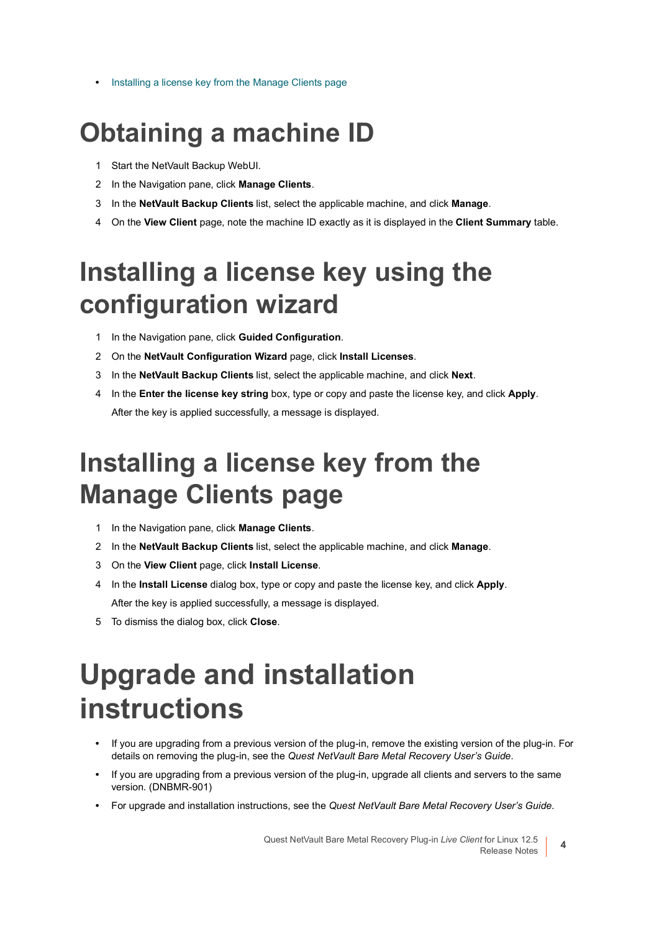**•** [Installing a license key from the Manage Clients page](#page-3-3)

### <span id="page-3-1"></span>**Obtaining a machine ID**

- 1 Start the NetVault Backup WebUI.
- 2 In the Navigation pane, click **Manage Clients**.
- 3 In the **NetVault Backup Clients** list, select the applicable machine, and click **Manage**.
- 4 On the **View Client** page, note the machine ID exactly as it is displayed in the **Client Summary** table.

### <span id="page-3-2"></span>**Installing a license key using the configuration wizard**

- 1 In the Navigation pane, click **Guided Configuration**.
- 2 On the **NetVault Configuration Wizard** page, click **Install Licenses**.
- 3 In the **NetVault Backup Clients** list, select the applicable machine, and click **Next**.
- 4 In the **Enter the license key string** box, type or copy and paste the license key, and click **Apply**. After the key is applied successfully, a message is displayed.

### <span id="page-3-3"></span>**Installing a license key from the Manage Clients page**

- 1 In the Navigation pane, click **Manage Clients**.
- 2 In the **NetVault Backup Clients** list, select the applicable machine, and click **Manage**.
- 3 On the **View Client** page, click **Install License**.
- 4 In the **Install License** dialog box, type or copy and paste the license key, and click **Apply**. After the key is applied successfully, a message is displayed.
- 5 To dismiss the dialog box, click **Close**.

## <span id="page-3-0"></span>**Upgrade and installation instructions**

- **•** If you are upgrading from a previous version of the plug-in, remove the existing version of the plug-in. For details on removing the plug-in, see the *Quest NetVault Bare Metal Recovery User's Guide*.
- **•** If you are upgrading from a previous version of the plug-in, upgrade all clients and servers to the same version. (DNBMR-901)
- **•** For upgrade and installation instructions, see the *Quest NetVault Bare Metal Recovery User's Guide*.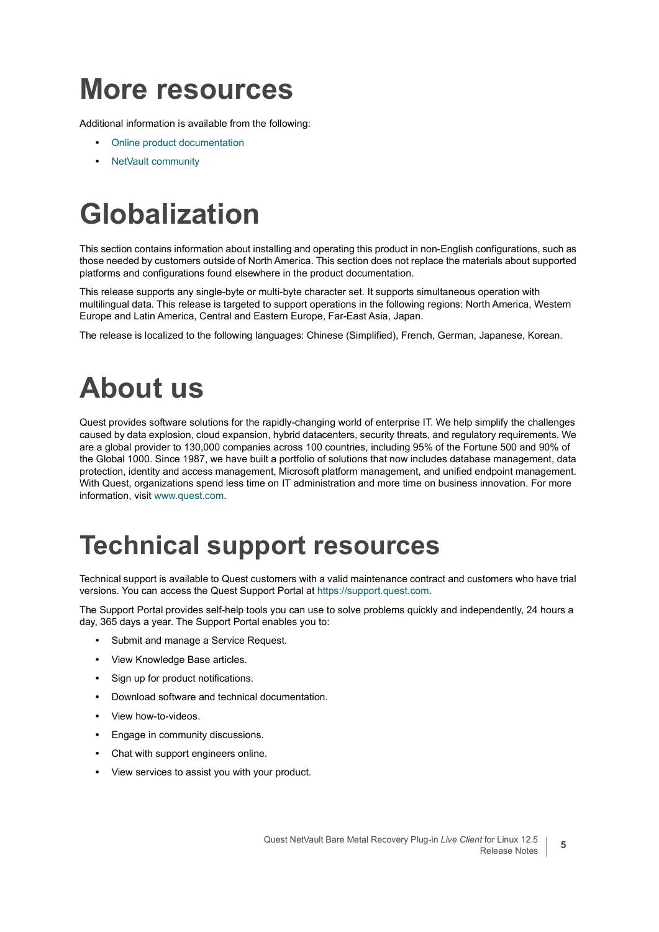### <span id="page-4-0"></span>**More resources**

Additional information is available from the following:

- **•** [Online product documentation](https://support.quest.com/technical-documents/)
- **•** [NetVault community](https://www.quest.com/community/products/netvault/)

# <span id="page-4-1"></span>**Globalization**

This section contains information about installing and operating this product in non-English configurations, such as those needed by customers outside of North America. This section does not replace the materials about supported platforms and configurations found elsewhere in the product documentation.

This release supports any single-byte or multi-byte character set. It supports simultaneous operation with multilingual data. This release is targeted to support operations in the following regions: North America, Western Europe and Latin America, Central and Eastern Europe, Far-East Asia, Japan.

The release is localized to the following languages: Chinese (Simplified), French, German, Japanese, Korean.

## <span id="page-4-2"></span>**About us**

Quest provides software solutions for the rapidly-changing world of enterprise IT. We help simplify the challenges caused by data explosion, cloud expansion, hybrid datacenters, security threats, and regulatory requirements. We are a global provider to 130,000 companies across 100 countries, including 95% of the Fortune 500 and 90% of the Global 1000. Since 1987, we have built a portfolio of solutions that now includes database management, data protection, identity and access management, Microsoft platform management, and unified endpoint management. With Quest, organizations spend less time on IT administration and more time on business innovation. For more information, visit [www.quest.com](https://www.quest.com/company/contact-us.aspx).

### **Technical support resources**

Technical support is available to Quest customers with a valid maintenance contract and customers who have trial versions. You can access the Quest Support Portal at [https://support.quest.com.](https://support.quest.com)

The Support Portal provides self-help tools you can use to solve problems quickly and independently, 24 hours a day, 365 days a year. The Support Portal enables you to:

- **•** Submit and manage a Service Request.
- **•** View Knowledge Base articles.
- **•** Sign up for product notifications.
- **•** Download software and technical documentation.
- **•** View how-to-videos.
- **•** Engage in community discussions.
- **•** Chat with support engineers online.
- **•** View services to assist you with your product.